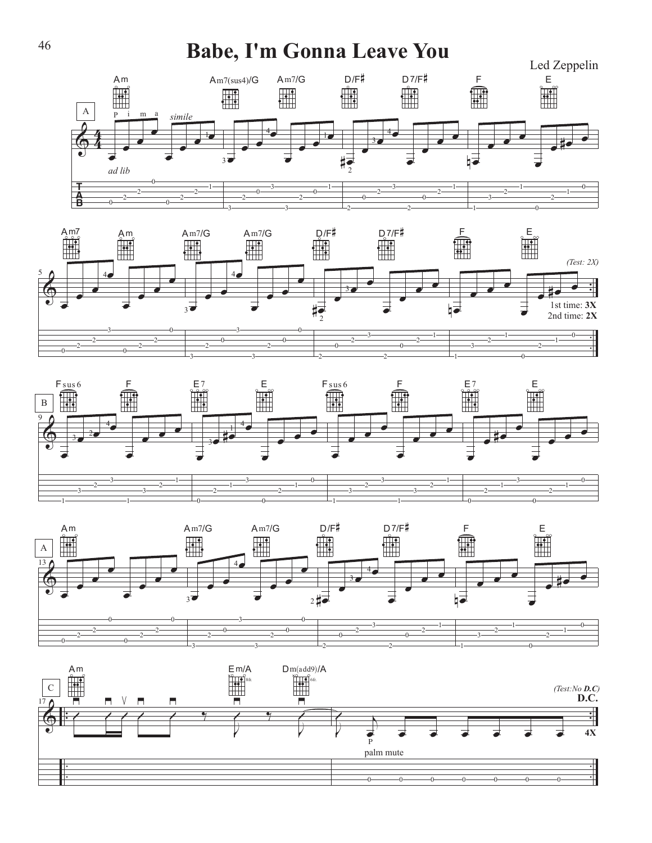## Babe, I'm Gonna Leave You









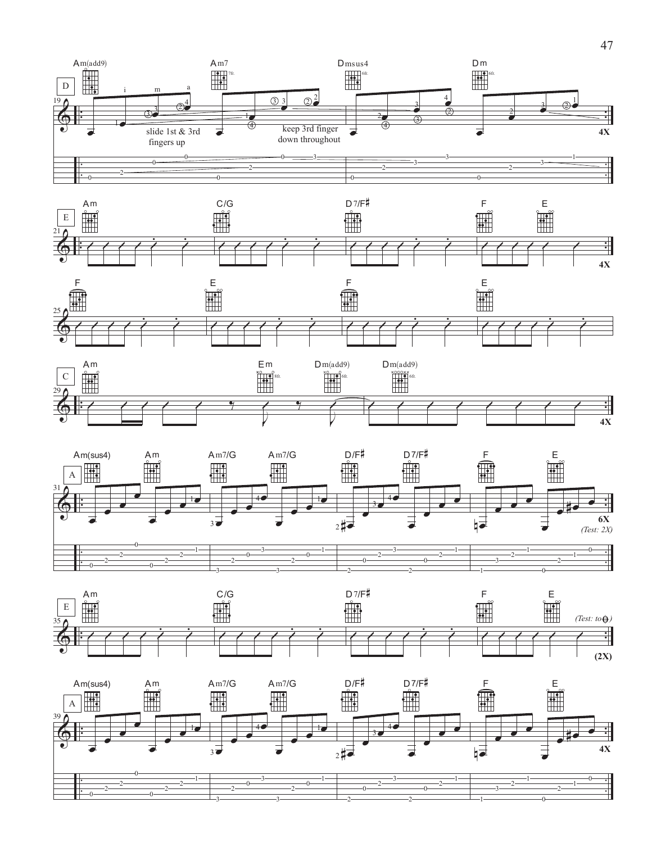











2

2

1

0

3

3